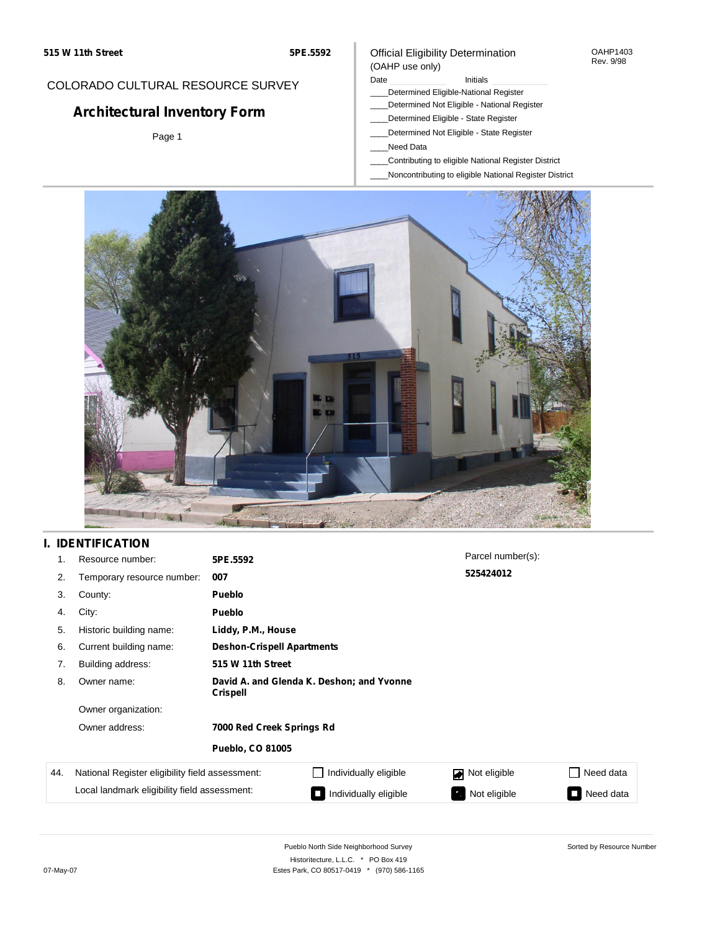#### OAHP1403 Rev. 9/98

### COLORADO CULTURAL RESOURCE SURVEY

# **Architectural Inventory Form**

Page 1

## (OAHP use only)

Official Eligibility Determination

Date **Initials** Initials

- \_\_\_\_Determined Eligible-National Register
- \_\_\_\_Determined Not Eligible National Register
- \_\_\_\_Determined Eligible State Register
- \_\_\_\_Determined Not Eligible State Register
- \_\_\_\_Need Data
- \_\_\_\_Contributing to eligible National Register District
- \_\_\_\_Noncontributing to eligible National Register District



### **I. IDENTIFICATION**

| 1.  | Resource number:                                                                                | 5PE.5592                                                     |                       | Parcel number(s): |                |  |
|-----|-------------------------------------------------------------------------------------------------|--------------------------------------------------------------|-----------------------|-------------------|----------------|--|
| 2.  | Temporary resource number:                                                                      | 007                                                          |                       | 525424012         |                |  |
| 3.  | County:                                                                                         | Pueblo                                                       |                       |                   |                |  |
| 4.  | City:                                                                                           | <b>Pueblo</b>                                                |                       |                   |                |  |
| 5.  | Historic building name:                                                                         | Liddy, P.M., House                                           |                       |                   |                |  |
| 6.  | Current building name:                                                                          | <b>Deshon-Crispell Apartments</b>                            |                       |                   |                |  |
| 7.  | Building address:                                                                               | 515 W 11th Street                                            |                       |                   |                |  |
| 8.  | Owner name:                                                                                     | David A. and Glenda K. Deshon; and Yvonne<br><b>Crispell</b> |                       |                   |                |  |
|     | Owner organization:                                                                             |                                                              |                       |                   |                |  |
|     | Owner address:                                                                                  | 7000 Red Creek Springs Rd                                    |                       |                   |                |  |
|     |                                                                                                 | <b>Pueblo, CO 81005</b>                                      |                       |                   |                |  |
| 44. | National Register eligibility field assessment:<br>Local landmark eligibility field assessment: |                                                              | Individually eligible | Not eligible      | Need data      |  |
|     |                                                                                                 |                                                              | Individually eligible | Not eligible      | Need data<br>J |  |

Sorted by Resource Number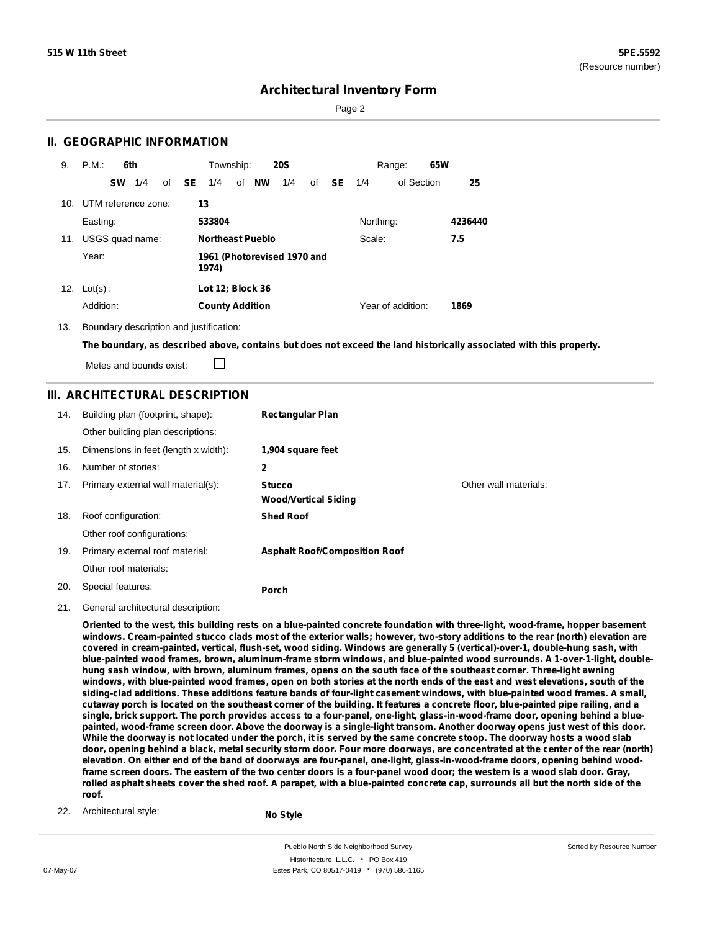Page 2

### **II. GEOGRAPHIC INFORMATION**

| 9.  | P.M.<br>6th             | Township:<br><b>20S</b>                                 | 65W<br>Range:             |  |
|-----|-------------------------|---------------------------------------------------------|---------------------------|--|
|     | 1/4<br><b>SW</b>        | of <b>SE</b><br>of <b>NW</b><br>1/4<br>1/4<br>of<br>SE. | of Section<br>25<br>1/4   |  |
|     | 10. UTM reference zone: | 13                                                      |                           |  |
|     | Easting:                | 533804                                                  | Northing:<br>4236440      |  |
| 11. | USGS quad name:         | <b>Northeast Pueblo</b>                                 | Scale:<br>7.5             |  |
|     | Year:                   | 1961 (Photorevised 1970 and<br>1974)                    |                           |  |
| 12. | $Lot(s)$ :              | Lot 12; Block 36                                        |                           |  |
|     | Addition:               | <b>County Addition</b>                                  | Year of addition:<br>1869 |  |

13. Boundary description and justification:

The boundary, as described above, contains but does not exceed the land historically associated with this property.

П Metes and bounds exist:

### **III. ARCHITECTURAL DESCRIPTION**

| 14. | Building plan (footprint, shape):<br>Other building plan descriptions: | <b>Rectangular Plan</b>                      |                       |
|-----|------------------------------------------------------------------------|----------------------------------------------|-----------------------|
| 15. | Dimensions in feet (length x width):                                   | 1,904 square feet                            |                       |
| 16. | Number of stories:                                                     | 2                                            |                       |
| 17. | Primary external wall material(s):                                     | <b>Stucco</b><br><b>Wood/Vertical Siding</b> | Other wall materials: |
| 18. | Roof configuration:                                                    | <b>Shed Roof</b>                             |                       |
|     | Other roof configurations:                                             |                                              |                       |
| 19. | Primary external roof material:                                        | <b>Asphalt Roof/Composition Roof</b>         |                       |
|     | Other roof materials:                                                  |                                              |                       |
| 20. | Special features:                                                      | Porch                                        |                       |

21. General architectural description:

Oriented to the west, this building rests on a blue-painted concrete foundation with three-light, wood-frame, hopper basement windows. Cream-painted stucco clads most of the exterior walls: however, two-story additions to the rear (north) elevation are covered in cream-painted, vertical, flush-set, wood siding. Windows are generally 5 (vertical)-over-1, double-hung sash, with **blue-painted wood frames, brown, aluminum-frame storm windows, and blue-painted wood surrounds. A 1-over-1-light, double**hung sash window, with brown, aluminum frames, opens on the south face of the southeast corner. Three-light awning windows, with blue-painted wood frames, open on both stories at the north ends of the east and west elevations, south of the siding-clad additions. These additions feature bands of four-light casement windows, with blue-painted wood frames. A small, cutaway porch is located on the southeast corner of the building. It features a concrete floor, blue-painted pipe railing, and a single, brick support. The porch provides access to a four-panel, one-light, glass-in-wood-frame door, opening behind a bluepainted, wood-frame screen door. Above the doorway is a single-light transom. Another doorway opens just west of this door. While the doorway is not located under the porch, it is served by the same concrete stoop. The doorway hosts a wood slab door, opening behind a black, metal security storm door. Four more doorways, are concentrated at the center of the rear (north) elevation. On either end of the band of doorways are four-panel, one-light, glass-in-wood-frame doors, opening behind woodframe screen doors. The eastern of the two center doors is a four-panel wood door; the western is a wood slab door. Gray, rolled asphalt sheets cover the shed roof. A parapet, with a blue-painted concrete cap, surrounds all but the north side of the **roof.**

22. Architectural style:

**No Style**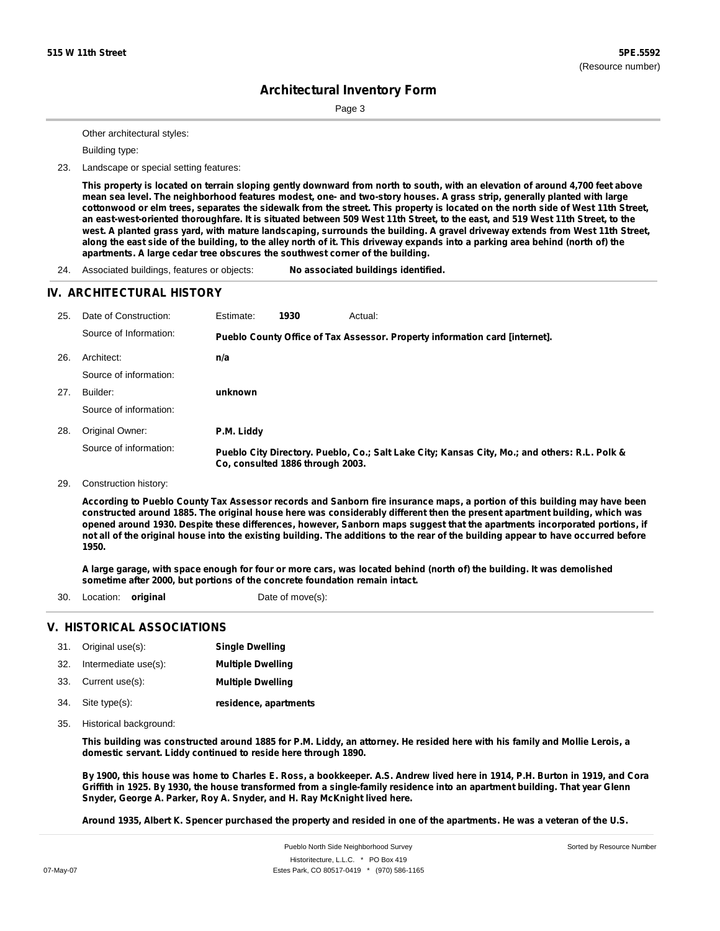Page 3

Other architectural styles:

Building type:

23. Landscape or special setting features:

This property is located on terrain sloping gently downward from north to south, with an elevation of around 4,700 feet above mean sea level. The neighborhood features modest, one- and two-story houses. A grass strip, generally planted with large cottonwood or elm trees, separates the sidewalk from the street. This property is located on the north side of West 11th Street, an east-west-oriented thoroughfare. It is situated between 509 West 11th Street, to the east, and 519 West 11th Street, to the west. A planted grass yard, with mature landscaping, surrounds the building. A gravel driveway extends from West 11th Street, along the east side of the building, to the alley north of it. This driveway expands into a parking area behind (north of) the **apartments. A large cedar tree obscures the southwest corner of the building.**

24. Associated buildings, features or objects: **No associated buildings identified.**

#### **IV. ARCHITECTURAL HISTORY**

| 25. | Date of Construction:  | Estimate:  | 1930                             | Actual:                                                                                       |
|-----|------------------------|------------|----------------------------------|-----------------------------------------------------------------------------------------------|
|     | Source of Information: |            |                                  | Pueblo County Office of Tax Assessor. Property information card [internet].                   |
| 26. | Architect:             | n/a        |                                  |                                                                                               |
|     | Source of information: |            |                                  |                                                                                               |
| 27. | Builder:               | unknown    |                                  |                                                                                               |
|     | Source of information: |            |                                  |                                                                                               |
| 28. | Original Owner:        | P.M. Liddy |                                  |                                                                                               |
|     | Source of information: |            | Co. consulted 1886 through 2003. | Pueblo City Directory. Pueblo, Co.; Salt Lake City; Kansas City, Mo.; and others: R.L. Polk & |

29. Construction history:

According to Pueblo County Tax Assessor records and Sanborn fire insurance maps, a portion of this building may have been constructed around 1885. The original house here was considerably different then the present apartment building, which was opened around 1930. Despite these differences, however, Sanborn maps suggest that the apartments incorporated portions, if not all of the original house into the existing building. The additions to the rear of the building appear to have occurred before **1950.**

A large garage, with space enough for four or more cars, was located behind (north of) the building. It was demolished **sometime after 2000, but portions of the concrete foundation remain intact.**

30. Location: **original** Date of move(s):

### **V. HISTORICAL ASSOCIATIONS**

| 31. Original use(s):     | <b>Single Dwelling</b>   |
|--------------------------|--------------------------|
| 32. Intermediate use(s): | <b>Multiple Dwelling</b> |
| 33. Current use(s):      | <b>Multiple Dwelling</b> |
| 34. Site type(s):        | residence, apartments    |

35. Historical background:

This building was constructed around 1885 for P.M. Liddy, an attorney. He resided here with his family and Mollie Lerois, a **domestic servant. Liddy continued to reside here through 1890.**

By 1900, this house was home to Charles E. Ross, a bookkeeper. A.S. Andrew lived here in 1914, P.H. Burton in 1919, and Cora Griffith in 1925. By 1930, the house transformed from a single-family residence into an apartment building. That year Glenn **Snyder, George A. Parker, Roy A. Snyder, and H. Ray McKnight lived here.**

Around 1935, Albert K. Spencer purchased the property and resided in one of the apartments. He was a veteran of the U.S.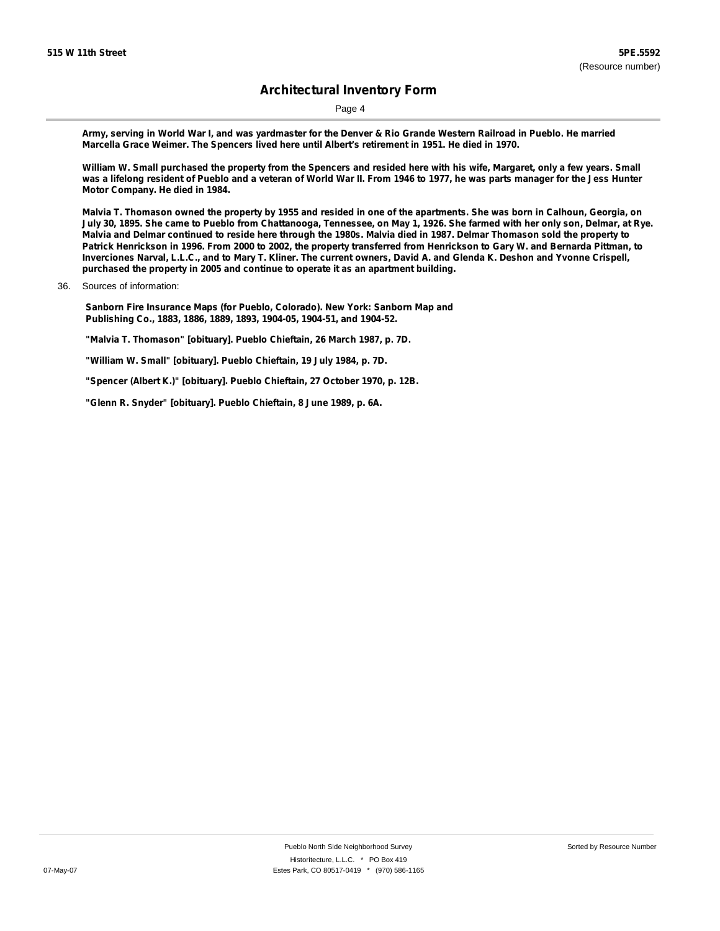Page 4

Army, serving in World War I, and was yardmaster for the Denver & Rio Grande Western Railroad in Pueblo. He married **Marcella Grace Weimer. The Spencers lived here until Albert's retirement in 1951. He died in 1970.**

William W. Small purchased the property from the Spencers and resided here with his wife, Margaret, only a few years. Small was a lifelong resident of Pueblo and a veteran of World War II. From 1946 to 1977, he was parts manager for the Jess Hunter **Motor Company. He died in 1984.**

Malvia T. Thomason owned the property by 1955 and resided in one of the apartments. She was born in Calhoun, Georgia, on July 30, 1895. She came to Pueblo from Chattanooga, Tennessee, on May 1, 1926. She farmed with her only son, Delmar, at Rye. Malvia and Delmar continued to reside here through the 1980s. Malvia died in 1987. Delmar Thomason sold the property to Patrick Henrickson in 1996. From 2000 to 2002, the property transferred from Henrickson to Gary W. and Bernarda Pittman, to Inverciones Narval, L.L.C., and to Mary T. Kliner. The current owners, David A. and Glenda K. Deshon and Yvonne Crispell, **purchased the property in 2005 and continue to operate it as an apartment building.**

36. Sources of information:

**Sanborn Fire Insurance Maps (for Pueblo, Colorado). New York: Sanborn Map and Publishing Co., 1883, 1886, 1889, 1893, 1904-05, 1904-51, and 1904-52.**

**"Malvia T. Thomason" [obituary]. Pueblo Chieftain, 26 March 1987, p. 7D.**

**"William W. Small" [obituary]. Pueblo Chieftain, 19 July 1984, p. 7D.**

**"Spencer (Albert K.)" [obituary]. Pueblo Chieftain, 27 October 1970, p. 12B.**

**"Glenn R. Snyder" [obituary]. Pueblo Chieftain, 8 June 1989, p. 6A.**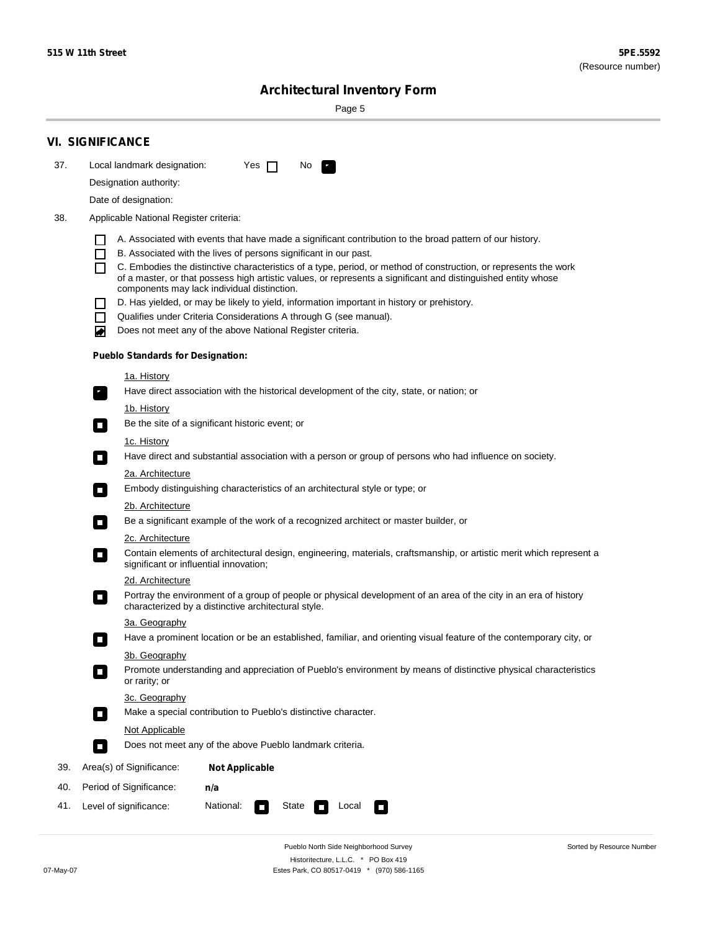Sorted by Resource Number

# **Architectural Inventory Form**

Page 5

|     | <b>VI. SIGNIFICANCE</b>                                                                                                                                                           |
|-----|-----------------------------------------------------------------------------------------------------------------------------------------------------------------------------------|
| 37. | Local landmark designation:<br>Yes $\Box$<br>No.<br>$\mathbf{F}_{\mathbf{r}}$                                                                                                     |
|     | Designation authority:                                                                                                                                                            |
|     | Date of designation:                                                                                                                                                              |
| 38. | Applicable National Register criteria:                                                                                                                                            |
|     | A. Associated with events that have made a significant contribution to the broad pattern of our history.                                                                          |
|     | B. Associated with the lives of persons significant in our past.<br>$\blacksquare$                                                                                                |
|     | C. Embodies the distinctive characteristics of a type, period, or method of construction, or represents the work<br>П                                                             |
|     | of a master, or that possess high artistic values, or represents a significant and distinguished entity whose<br>components may lack individual distinction.                      |
|     | D. Has yielded, or may be likely to yield, information important in history or prehistory.                                                                                        |
|     | Qualifies under Criteria Considerations A through G (see manual).<br>$\sim$                                                                                                       |
|     | Does not meet any of the above National Register criteria.<br>₩                                                                                                                   |
|     | <b>Pueblo Standards for Designation:</b>                                                                                                                                          |
|     | 1a. History                                                                                                                                                                       |
|     | $\overline{\mathbf{r}}_1$<br>Have direct association with the historical development of the city, state, or nation; or                                                            |
|     | <u>1b. History</u>                                                                                                                                                                |
|     | Be the site of a significant historic event; or<br>$\overline{\phantom{a}}$                                                                                                       |
|     | 1c. History                                                                                                                                                                       |
|     | Have direct and substantial association with a person or group of persons who had influence on society.<br>$\overline{\phantom{a}}$                                               |
|     | 2a. Architecture<br>Embody distinguishing characteristics of an architectural style or type; or                                                                                   |
|     | $\Box$                                                                                                                                                                            |
|     | 2b. Architecture<br>Be a significant example of the work of a recognized architect or master builder, or<br>$\Box$                                                                |
|     | 2c. Architecture                                                                                                                                                                  |
|     | Contain elements of architectural design, engineering, materials, craftsmanship, or artistic merit which represent a<br>$\Box$<br>significant or influential innovation;          |
|     | 2d. Architecture                                                                                                                                                                  |
|     | Portray the environment of a group of people or physical development of an area of the city in an era of history<br>$\Box$<br>characterized by a distinctive architectural style. |
|     | 3a. Geography                                                                                                                                                                     |
|     | Have a prominent location or be an established, familiar, and orienting visual feature of the contemporary city, or                                                               |
|     | 3b. Geography                                                                                                                                                                     |
|     | Promote understanding and appreciation of Pueblo's environment by means of distinctive physical characteristics<br>or rarity; or                                                  |
|     | 3c. Geography                                                                                                                                                                     |
|     | Make a special contribution to Pueblo's distinctive character.<br>$\overline{\phantom{a}}$                                                                                        |
|     | <b>Not Applicable</b><br>Does not meet any of the above Pueblo landmark criteria.                                                                                                 |
|     | $\overline{\phantom{a}}$                                                                                                                                                          |
| 39. | Area(s) of Significance:<br><b>Not Applicable</b>                                                                                                                                 |
| 40. | Period of Significance:<br>n/a                                                                                                                                                    |
| 41. | Level of significance:<br>National:<br>State<br>Local<br>$\Box$<br>$\sim$                                                                                                         |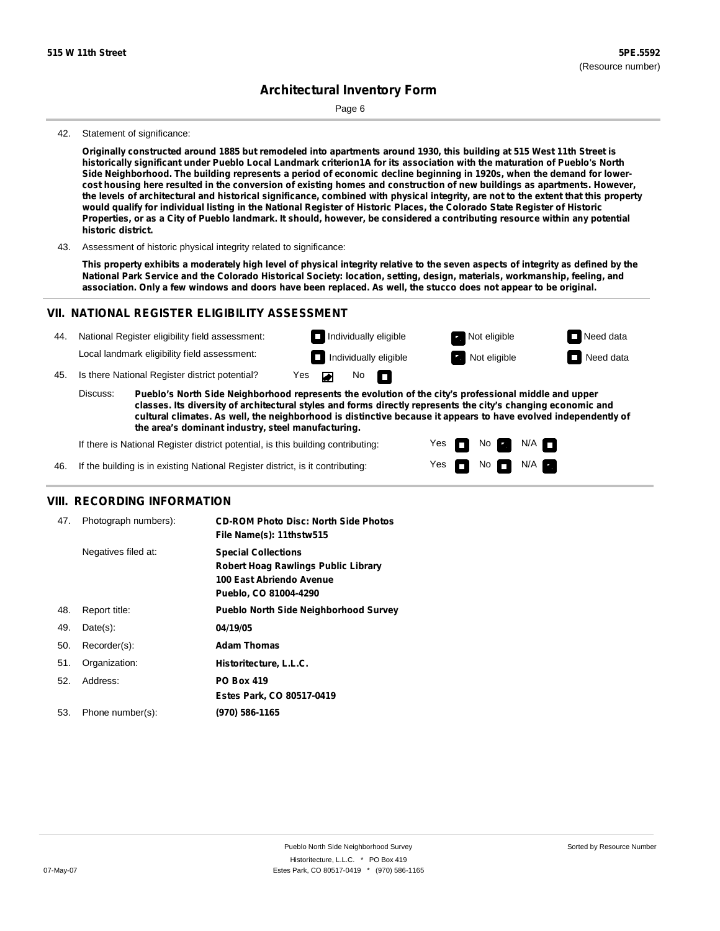Page 6

#### 42. Statement of significance:

Originally constructed around 1885 but remodeled into apartments around 1930, this building at 515 West 11th Street is historically significant under Pueblo Local Landmark criterion1A for its association with the maturation of Pueblo's North Side Neighborhood. The building represents a period of economic decline beginning in 1920s, when the demand for lowercost housing here resulted in the conversion of existing homes and construction of new buildings as apartments. However, the levels of architectural and historical significance, combined with physical integrity, are not to the extent that this property would qualify for individual listing in the National Register of Historic Places, the Colorado State Register of Historic Properties, or as a City of Pueblo landmark. It should, however, be considered a contributing resource within any potential **historic district.**

43. Assessment of historic physical integrity related to significance:

This property exhibits a moderately high level of physical integrity relative to the seven aspects of integrity as defined by the National Park Service and the Colorado Historical Society: location, setting, design, materials, workmanship, feeling, and association. Only a few windows and doors have been replaced. As well, the stucco does not appear to be original.

### **VII. NATIONAL REGISTER ELIGIBILITY ASSESSMENT**

| 44. |  |  |  |  | National Register eligibility field assessment: |
|-----|--|--|--|--|-------------------------------------------------|
|-----|--|--|--|--|-------------------------------------------------|

Local landmark eligibility field assessment:

45. Is there National Register district potential? Yes

**Pueblo's North Side Neighborhood represents the evolution of the city's professional middle and upper classes. Its diversity of architectural styles and forms directly represents the city's changing economic and cultural climates. As well, the neighborhood is distinctive because it appears to have evolved independently of the area's dominant industry, steel manufacturing.** Discuss:

No

П

 $\blacksquare$ 

Yes Yes

**The Second Second** 

No **Exercise** 

**Individually eligible Not eligible** Not eligible **Need data Individually eligible Not eligible Not eligible Need data** 

 $\blacksquare$  No  $\blacksquare$  N/A  $\blacksquare$ 

 $N/A$ 

If there is National Register district potential, is this building contributing:

If the building is in existing National Register district, is it contributing: 46.

#### **VIII. RECORDING INFORMATION**

| 47. | Photograph numbers): | <b>CD-ROM Photo Disc: North Side Photos</b><br>File Name(s): 11thstw515                                                       |
|-----|----------------------|-------------------------------------------------------------------------------------------------------------------------------|
|     | Negatives filed at:  | <b>Special Collections</b><br><b>Robert Hoag Rawlings Public Library</b><br>100 East Abriendo Avenue<br>Pueblo, CO 81004-4290 |
| 48. | Report title:        | <b>Pueblo North Side Neighborhood Survey</b>                                                                                  |
| 49. | $Date(s)$ :          | 04/19/05                                                                                                                      |
| 50. | Recorder(s):         | <b>Adam Thomas</b>                                                                                                            |
| 51. | Organization:        | Historitecture, L.L.C.                                                                                                        |
| 52. | Address:             | <b>PO Box 419</b>                                                                                                             |
|     |                      | Estes Park, CO 80517-0419                                                                                                     |
| 53. | Phone number(s):     | (970) 586-1165                                                                                                                |
|     |                      |                                                                                                                               |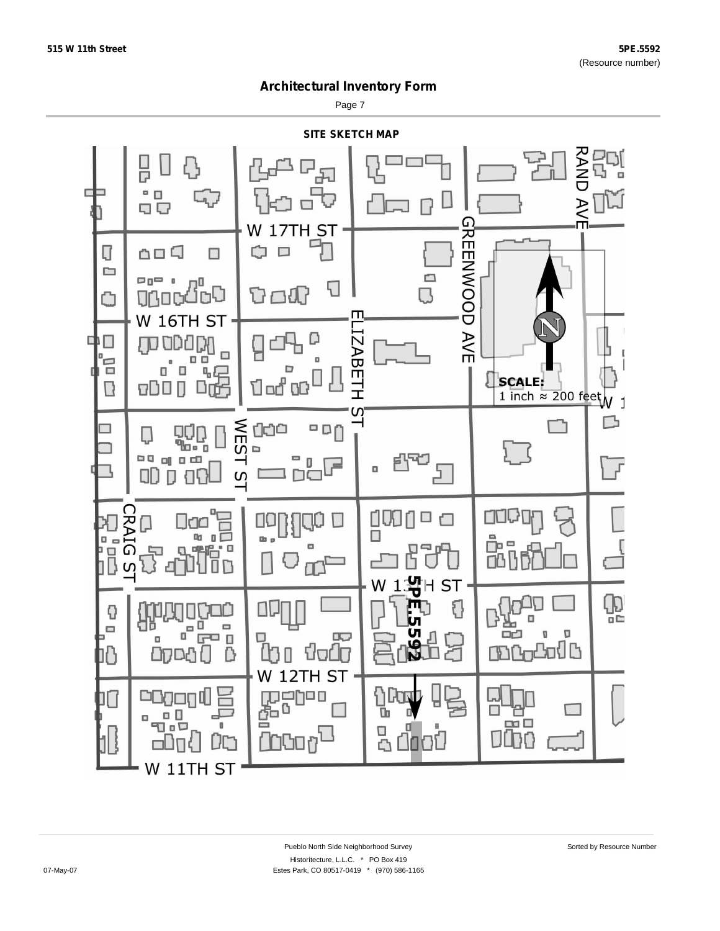Page 7